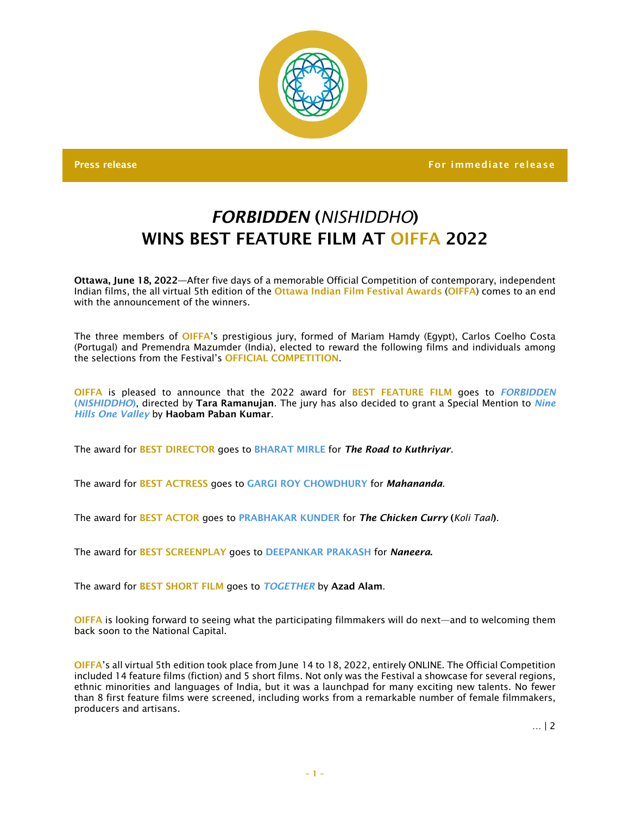

Press release For immediate release For immediate release  $\sim$  For immediate release

## *FORBIDDEN* (*NISHIDDHO*) WINS BEST FFATURE FILM AT OIFFA 2022

Ottawa, June 18, 2022—After five days of a memorable Official Competition of contemporary, independent Indian films, the all virtual 5th edition of the Ottawa Indian Film Festival Awards (OIFFA) comes to an end with the announcement of the winners.

The three members of OIFFA's prestigious jury, formed of Mariam Hamdy (Egypt), Carlos Coelho Costa (Portugal) and Premendra Mazumder (India), elected to reward the following films and individuals among the selections from the Festival's OFFICIAL COMPETITION.

OIFFA is pleased to announce that the 2022 award for BEST FEATURE FILM goes to *FORBIDDEN* (*NISHIDDHO*), directed by Tara Ramanujan. The jury has also decided to grant a Special Mention to *Nine Hills One Valley* by Haobam Paban Kumar.

The award for BEST DIRECTOR goes to BHARAT MIRLE for *The Road to Kuthriyar*.

The award for BEST ACTRESS goes to GARGI ROY CHOWDHURY for *Mahananda*.

The award for BEST ACTOR goes to PRABHAKAR KUNDER for *The Chicken Curry* (*Koli Taal*).

The award for BEST SCREENPLAY goes to DEEPANKAR PRAKASH for *Naneera*.

The award for BEST SHORT FILM goes to *TOGETHER* by Azad Alam.

OIFFA is looking forward to seeing what the participating filmmakers will do next—and to welcoming them back soon to the National Capital.

OIFFA's all virtual 5th edition took place from June 14 to 18, 2022, entirely ONLINE. The Official Competition included 14 feature films (fiction) and 5 short films. Not only was the Festival a showcase for several regions, ethnic minorities and languages of India, but it was a launchpad for many exciting new talents. No fewer than 8 first feature films were screened, including works from a remarkable number of female filmmakers, producers and artisans.